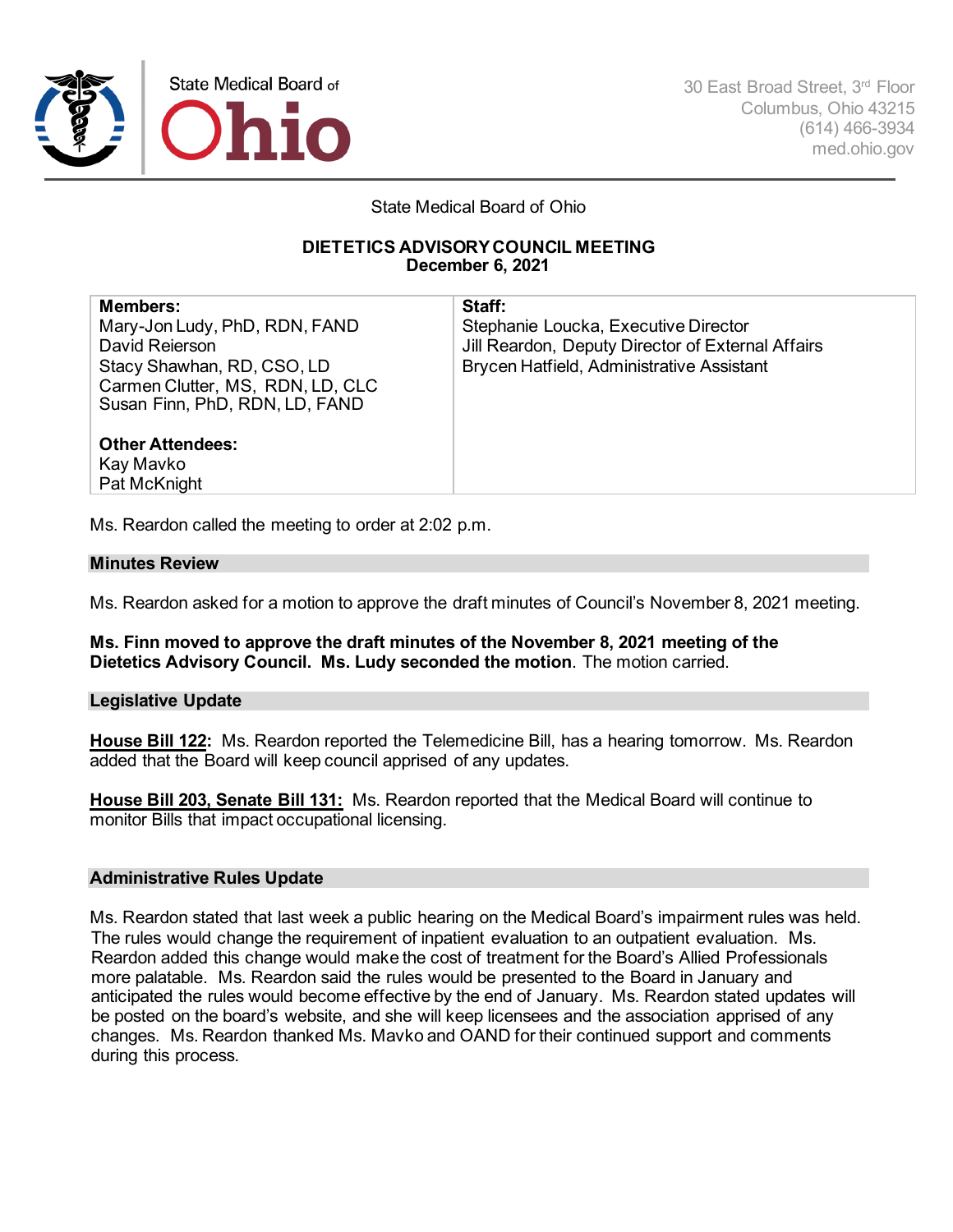

State Medical Board of Ohio

## **DIETETICS ADVISORY COUNCIL MEETING December 6, 2021**

**Members:** Mary-Jon Ludy, PhD, RDN, FAND David Reierson Stacy Shawhan, RD, CSO, LD Carmen Clutter, MS, RDN, LD, CLC Susan Finn, PhD, RDN, LD, FAND **Staff:**

Stephanie Loucka, Executive Director Jill Reardon, Deputy Director of External Affairs Brycen Hatfield, Administrative Assistant

## **Other Attendees:** Kay Mavko Pat McKnight

Ms. Reardon called the meeting to order at 2:02 p.m.

# **Minutes Review**

Ms. Reardon asked for a motion to approve the draft minutes of Council's November 8, 2021 meeting.

**Ms. Finn moved to approve the draft minutes of the November 8, 2021 meeting of the Dietetics Advisory Council. Ms. Ludy seconded the motion**. The motion carried.

# **Legislative Update**

**House Bill 122:** Ms. Reardon reported the Telemedicine Bill, has a hearing tomorrow. Ms. Reardon added that the Board will keep council apprised of any updates.

**House Bill 203, Senate Bill 131:** Ms. Reardon reported that the Medical Board will continue to monitor Bills that impact occupational licensing.

# **Administrative Rules Update**

Ms. Reardon stated that last week a public hearing on the Medical Board's impairment rules was held. The rules would change the requirement of inpatient evaluation to an outpatient evaluation. Ms. Reardon added this change would make the cost of treatment for the Board's Allied Professionals more palatable. Ms. Reardon said the rules would be presented to the Board in January and anticipated the rules would become effective by the end of January. Ms. Reardon stated updates will be posted on the board's website, and she will keep licensees and the association apprised of any changes. Ms. Reardon thanked Ms. Mavko and OAND for their continued support and comments during this process.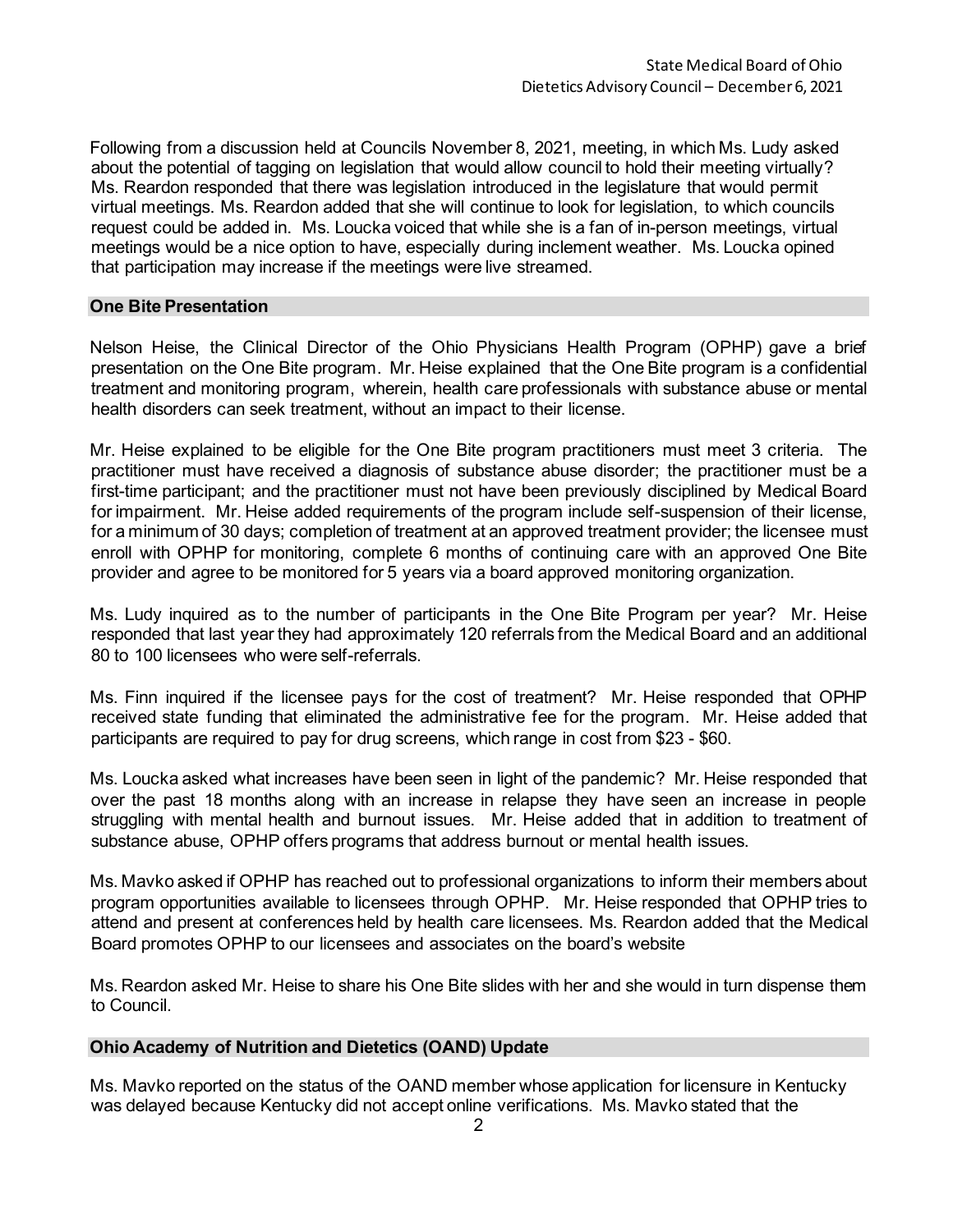Following from a discussion held at Councils November 8, 2021, meeting, in which Ms. Ludy asked about the potential of tagging on legislation that would allow council to hold their meeting virtually? Ms. Reardon responded that there was legislation introduced in the legislature that would permit virtual meetings. Ms. Reardon added that she will continue to look for legislation, to which councils request could be added in. Ms. Loucka voiced that while she is a fan of in-person meetings, virtual meetings would be a nice option to have, especially during inclement weather. Ms. Loucka opined that participation may increase if the meetings were live streamed.

## **One Bite Presentation**

Nelson Heise, the Clinical Director of the Ohio Physicians Health Program (OPHP) gave a brief presentation on the One Bite program. Mr. Heise explained that the One Bite program is a confidential treatment and monitoring program, wherein, health care professionals with substance abuse or mental health disorders can seek treatment, without an impact to their license.

Mr. Heise explained to be eligible for the One Bite program practitioners must meet 3 criteria. The practitioner must have received a diagnosis of substance abuse disorder; the practitioner must be a first-time participant; and the practitioner must not have been previously disciplined by Medical Board for impairment. Mr. Heise added requirements of the program include self-suspension of their license, for a minimum of 30 days; completion of treatment at an approved treatment provider; the licensee must enroll with OPHP for monitoring, complete 6 months of continuing care with an approved One Bite provider and agree to be monitored for 5 years via a board approved monitoring organization.

Ms. Ludy inquired as to the number of participants in the One Bite Program per year? Mr. Heise responded that last year they had approximately 120 referrals from the Medical Board and an additional 80 to 100 licensees who were self-referrals.

Ms. Finn inquired if the licensee pays for the cost of treatment? Mr. Heise responded that OPHP received state funding that eliminated the administrative fee for the program. Mr. Heise added that participants are required to pay for drug screens, which range in cost from \$23 - \$60.

Ms. Loucka asked what increases have been seen in light of the pandemic? Mr. Heise responded that over the past 18 months along with an increase in relapse they have seen an increase in people struggling with mental health and burnout issues. Mr. Heise added that in addition to treatment of substance abuse, OPHP offers programs that address burnout or mental health issues.

Ms. Mavko asked if OPHP has reached out to professional organizations to inform their members about program opportunities available to licensees through OPHP. Mr. Heise responded that OPHP tries to attend and present at conferences held by health care licensees. Ms. Reardon added that the Medical Board promotes OPHP to our licensees and associates on the board's website

Ms. Reardon asked Mr. Heise to share his One Bite slides with her and she would in turn dispense them to Council.

## **Ohio Academy of Nutrition and Dietetics (OAND) Update**

Ms. Mavko reported on the status of the OAND member whose application for licensure in Kentucky was delayed because Kentucky did not accept online verifications. Ms. Mavko stated that the